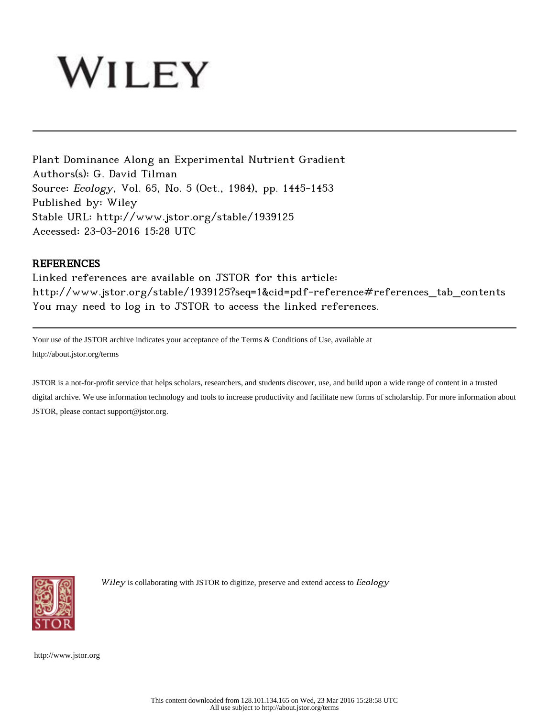# WILEY

Plant Dominance Along an Experimental Nutrient Gradient Authors(s): G. David Tilman Source: Ecology, Vol. 65, No. 5 (Oct., 1984), pp. 1445-1453 Published by: Wiley Stable URL: http://www.jstor.org/stable/1939125 Accessed: 23-03-2016 15:28 UTC

# **REFERENCES**

Linked references are available on JSTOR for this article: http://www.jstor.org/stable/1939125?seq=1&cid=pdf-reference#references\_tab\_contents You may need to log in to JSTOR to access the linked references.

Your use of the JSTOR archive indicates your acceptance of the Terms & Conditions of Use, available at http://about.jstor.org/terms

JSTOR is a not-for-profit service that helps scholars, researchers, and students discover, use, and build upon a wide range of content in a trusted digital archive. We use information technology and tools to increase productivity and facilitate new forms of scholarship. For more information about JSTOR, please contact support@jstor.org.



Wiley is collaborating with JSTOR to digitize, preserve and extend access to Ecology

http://www.jstor.org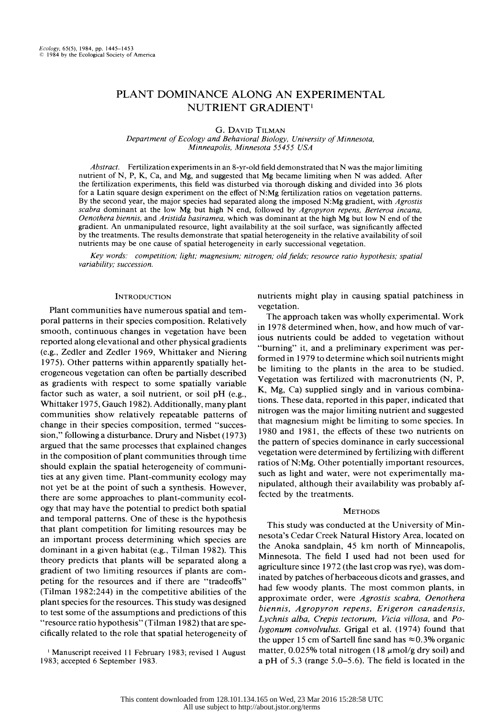# PLANT DOMINANCE ALONG AN EXPERIMENTAL NUTRIENT GRADIENT'

G. DAVID TILMAN

 Department of Ecology and Behavioral Biology, University of Minnesota, Minneapolis, Minnesota 55455 USA

Abstract. Fertilization experiments in an 8-yr-old field demonstrated that N was the major limiting nutrient of N, P, K, Ca, and Mg, and suggested that Mg became limiting when N was added. After the fertilization experiments, this field was disturbed via thorough disking and divided into 36 plots for a Latin square design experiment on the effect of N:Mg fertilization ratios on vegetation patterns. By the second year, the major species had separated along the imposed N:Mg gradient, with Agrostis scabra dominant at the low Mg but high N end, followed by Agropyron repens, Berteroa incana, Oenothera biennis, and Aristida basiramea, which was dominant at the high Mg but low N end of the gradient. An unmanipulated resource, light availability at the soil surface, was significantly affected by the treatments. The results demonstrate that spatial heterogeneity in the relative availability of soil nutrients may be one cause of spatial heterogeneity in early successional vegetation.

 Key words: competition; light; magnesium; nitrogen; old fields; resource ratio hypothesis; spatial variability; succession.

# **INTRODUCTION**

 Plant communities have numerous spatial and tem poral patterns in their species composition. Relatively smooth, continuous changes in vegetation have been reported along elevational and other physical gradients (e.g., Zedler and Zedler 1969, Whittaker and Niering 1975). Other patterns within apparently spatially het erogeneous vegetation can often be partially described as gradients with respect to some spatially variable factor such as water, a soil nutrient, or soil pH (e.g., Whittaker 1975, Gauch 1982). Additionally, many plant communities show relatively repeatable patterns of change in their species composition, termed "succes sion," following a disturbance. Drury and Nisbet (1973) argued that the same processes that explained changes in the composition of plant communities through time should explain the spatial heterogeneity of communi ties at any given time. Plant-community ecology may not yet be at the point of such a synthesis. However, there are some approaches to plant-community ecol ogy that may have the potential to predict both spatial and temporal patterns. One of these is the hypothesis that plant competition for limiting resources may be an important process determining which species are dominant in a given habitat (e.g., Tilman 1982). This theory predicts that plants will be separated along a gradient of two limiting resources if plants are com peting for the resources and if there are "tradeoffs" (Tilman 1982:244) in the competitive abilities of the plant species for the resources. This study was designed to test some of the assumptions and predictions of this "resource ratio hypothesis" (Tilman 1982) that are spe cifically related to the role that spatial heterogeneity of

 ' Manuscript received 11 February 1983; revised 1 August 1983; accepted 6 September 1983.

 nutrients might play in causing spatial patchiness in vegetation.

 The approach taken was wholly experimental. Work in 1978 determined when, how, and how much of var ious nutrients could be added to vegetation without "burning" it, and a preliminary experiment was per formed in 1979 to determine which soil nutrients might be limiting to the plants in the area to be studied. Vegetation was fertilized with macronutrients (N, P, K, Mg, Ca) supplied singly and in various combina tions. These data, reported in this paper, indicated that nitrogen was the major limiting nutrient and suggested that magnesium might be limiting to some species. In 1980 and 1981, the effects of these two nutrients on the pattern of species dominance in early successional vegetation were determined by fertilizing with different ratios of N:Mg. Other potentially important resources, such as light and water, were not experimentally ma nipulated, although their availability was probably af fected by the treatments.

# **METHODS**

 This study was conducted at the University of Min nesota's Cedar Creek Natural History Area, located on the Anoka sandplain, 45 km north of Minneapolis, Minnesota. The field I used had not been used for agriculture since 1972 (the last crop was rye), was dom inated by patches of herbaceous dicots and grasses, and had few woody plants. The most common plants, in approximate order, were Agrostis scabra, Oenothera biennis, Agropyron repens, Erigeron canadensis, Lychnis alba, Crepis tectorum, Vicia villosa, and Po lygonum convolvulus. Grigal et al. (1974) found that the upper 15 cm of Sartell fine sand has  $\approx 0.3\%$  organic matter, 0.025% total nitrogen (18  $\mu$ mol/g dry soil) and a pH of 5.3 (range 5.0-5.6). The field is located in the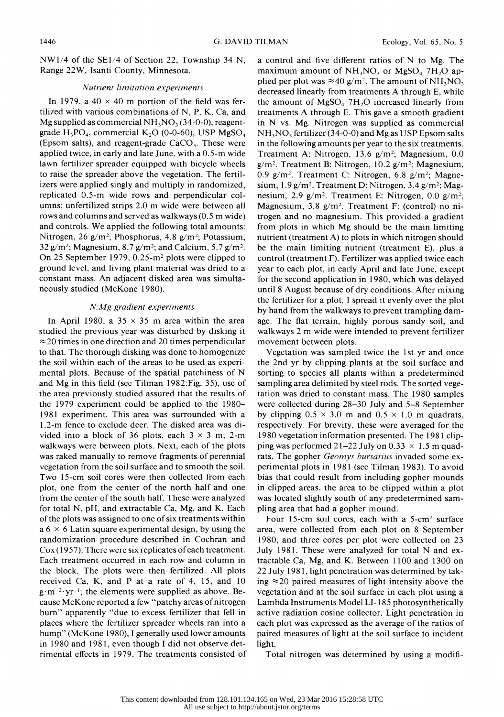$NW1/4$  of the SE1/4 of Section 22, Township 34 N, Range 22W, Isanti County, Minnesota.

#### Nutrient limitation experiments

In 1979, a 40  $\times$  40 m portion of the field was fer tilized with various combinations of N, P, K, Ca, and Mg supplied as commercial  $NH_3NO_3$  (34-0-0), reagentgrade  $H_3PO_4$ , commercial  $K_2O$  (0-0-60), USP MgSO<sub>4</sub> (Epsom salts), and reagent-grade  $CaCO<sub>3</sub>$ . These were applied twice, in early and late June, with a  $0.5$ -m wide lawn fertilizer spreader equipped with bicycle wheels to raise the spreader above the vegetation. The fertil izers were applied singly and multiply in randomized, replicated 0.5-m wide rows and perpendicular col umns; unfertilized strips 2.0 m wide were between all rows and columns and served as walkways (0.5 m wide) and controls. We applied the following total amounts: Nitrogen, 26 g/m<sup>2</sup>; Phosphorus, 4.8 g/m<sup>2</sup>; Potassium, 32 g/m<sup>2</sup>; Magnesium, 8.7 g/m<sup>2</sup>; and Calcium, 5.7 g/m<sup>2</sup>. On 25 September 1979,  $0.25 \text{--} m^2$  plots were clipped to ground level, and living plant material was dried to a constant mass. An adjacent disked area was simulta neously studied (McKone 1980).

## N.Mg gradient experiments

In April 1980, a  $35 \times 35$  m area within the area studied the previous year was disturbed by disking it  $\approx$  20 times in one direction and 20 times perpendicular to that. The thorough disking was done to homogenize the soil within each of the areas to be used as experi mental plots. Because of the spatial patchiness of N and Mg in this field (see Tilman 1982:Fig. 35), use of the area previously studied assured that the results of the 1979 experiment could be applied to the 1980- 1981 experiment. This area was surrounded with a 1.2-m fence to exclude deer. The disked area was di vided into a block of 36 plots, each  $3 \times 3$  m; 2-m walkways were between plots. Next, each of the plots was raked manually to remove fragments of perennial vegetation from the soil surface and to smooth the soil. Two 15-cm soil cores were then collected from each plot, one from the center of the north half and one from the center of the south half. These were analyzed for total N, pH, and extractable Ca, Mg, and K. Each of the plots was assigned to one of six treatments within a  $6 \times 6$  Latin square experimental design, by using the randomization procedure described in Cochran and Cox (1957). There were six replicates of each treatment. Each treatment occurred in each row and column in the block. The plots were then fertilized. All plots received Ca, K, and P at a rate of 4, 15, and 10  $g \cdot m^{-2} \cdot yr^{-1}$ ; the elements were supplied as above. Be cause McKone reported a few "patchy areas of nitrogen burn" apparently "due to excess fertilizer that fell in places where the fertilizer spreader wheels ran into a bump" (McKone 1980), I generally used lower amounts in 1980 and 1981, even though I did not observe det rimental effects in 1979. The treatments consisted of  a control and five different ratios of N to Mg. The maximum amount of  $NH<sub>3</sub>NO<sub>3</sub>$  or  $MgSO<sub>4</sub>$  7H<sub>2</sub>O applied per plot was  $\approx 40$  g/m<sup>2</sup>. The amount of NH<sub>3</sub>NO<sub>3</sub> decreased linearly from treatments A through E, while the amount of  $MgSO<sub>4</sub>$  7H<sub>2</sub>O increased linearly from treatments A through E. This gave a smooth gradient in N vs. Mg. Nitrogen was supplied as commercial  $NH<sub>3</sub>NO<sub>3</sub>$  fertilizer (34-0-0) and Mg as USP Epsom salts in the following amounts per year to the six treatments. Treatment A: Nitrogen, 13.6 g/m<sup>2</sup>; Magnesium, 0.0  $g/m^2$ . Treatment B: Nitrogen, 10.2  $g/m^2$ ; Magnesium, 0.9 g/m<sup>2</sup>. Treatment C: Nitrogen, 6.8 g/m<sup>2</sup>; Magnesium,  $1.9 \text{ g/m}^2$ . Treatment D: Nitrogen,  $3.4 \text{ g/m}^2$ ; Magnesium, 2.9 g/m<sup>2</sup>. Treatment E: Nitrogen, 0.0 g/m<sup>2</sup>; Magnesium, 3.8  $g/m^2$ . Treatment F: (control) no ni trogen and no magnesium. This provided a gradient from plots in which Mg should be the main limiting nutrient (treatment A) to plots in which nitrogen should be the main limiting nutrient (treatment E), plus a control (treatment F). Fertilizer was applied twice each year to each plot, in early April and late June, except for the second application in 1980, which was delayed until 8 August because of dry conditions. After mixing the fertilizer for a plot, I spread it evenly over the plot by hand from the walkways to prevent trampling dam age. The flat terrain, highly porous sandy soil, and walkways 2 m wide were intended to prevent fertilizer movement between plots.

 Vegetation was sampled twice the 1st yr and once the 2nd yr by clipping plants at the soil surface and sorting to species all plants within a predetermined sampling area delimited by steel rods. The sorted vege tation was dried to constant mass. The 1980 samples were collected during 28-30 July and 5-8 September by clipping  $0.5 \times 3.0$  m and  $0.5 \times 1.0$  m quadrats, respectively. For brevity, these were averaged for the 1980 vegetation information presented. The 1981 clip ping was performed 21–22 July on  $0.33 \times 1.5$  m quadrats. The gopher Geomys bursarius invaded some ex perimental plots in 1981 (see Tilman 1983). To avoid bias that could result from including gopher mounds in clipped areas, the area to be clipped within a plot was located slightly south of any predetermined sam pling area that had a gopher mound.

 Four 15-cm soil cores, each with a 5-cm2 surface area, were collected from each plot on 8 September 1980, and three cores per plot were collected on 23 July 1981. These were analyzed for total N and ex tractable Ca, Mg, and K. Between 1100 and 1300 on 22 July 1981, light penetration was determined by tak ing  $\approx$  20 paired measures of light intensity above the vegetation and at the soil surface in each plot using a Lambda Instruments Model LI- 185 photosynthetically active radiation cosine collector. Light penetration in each plot was expressed as the average of the ratios of paired measures of light at the soil surface to incident light.

Total nitrogen was determined by using a modifi-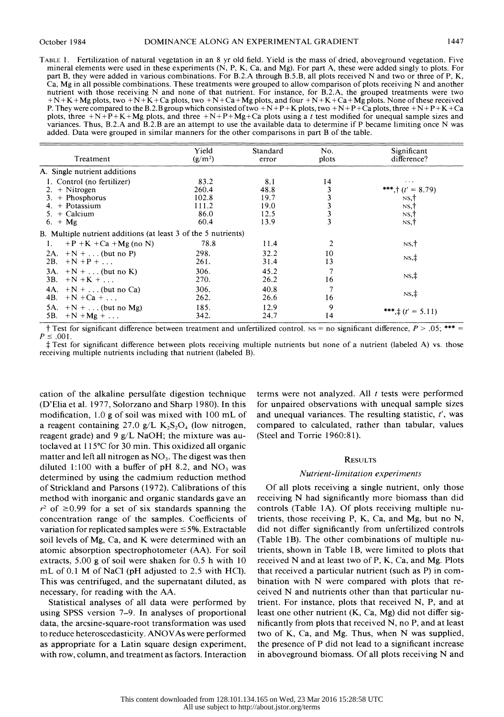TABLE 1. Fertilization of natural vegetation in an 8 yr old field. Yield is the mass of dried, aboveground vegetation. Five mineral elements were used in these experiments (N, P, K, Ca, and Mg). For part A, these were added singly to plots. For part B, they were added in various combinations. For B.2.A through B.5.B, all plots received N and two or three of P, K, Ca, Mg in all possible combinations. These treatments were grouped to allow comparison of plots receiving N and another nutrient with those receiving N and none of that nutrient. For instance, for B.2.A, the grouped treatments were two  $+N+K+Mg$  plots, two  $+N+K+Ca$  plots, two  $+N+Ca+Mg$  plots, and four  $+N+K+Ca+Mg$  plots. None of these received P. They were compared to the B.2.B group which consisted of two  $+N+P+K$  plots, two  $+N+P+\hat{Ca}$  plots, three  $+N+P+K+Ca$ plots, three  $+N+P+K+Mg$  plots, and three  $+N+P+Mg+Ca$  plots using a t test modified for unequal sample sizes and variances. Thus, B.2.A and B.2.B are an attempt to use the available data to determine if P became limiting once N was added. Data were grouped in similar manners for the other comparisons in part B of the table.

| Treatment                                                      | Yield<br>$(g/m^2)$ | Standard<br>error | No.<br>plots            | Significant<br>difference?  |  |  |
|----------------------------------------------------------------|--------------------|-------------------|-------------------------|-----------------------------|--|--|
| A. Single nutrient additions                                   |                    |                   |                         |                             |  |  |
| 1. Control (no fertilizer)                                     | 83.2               | 8.1               | 14                      | $\cdots$                    |  |  |
| $2. +$ Nitrogen                                                | 260.4              | 48.8              | 3                       | ***,† $(t' = 8.79)$         |  |  |
| $3. + Phosphorus$                                              | 102.8              | 19.7              | 3                       | NS, †                       |  |  |
| $+$ Potassium<br>4.                                            | 111.2              | 19.0              | 3                       | NS, †                       |  |  |
| $5. +$ Calcium                                                 | 86.0               | 12.5              | $\overline{\mathbf{3}}$ | NS,                         |  |  |
| 6. $+$ Mg                                                      | 60.4               | 13.9              | 3                       | NS,†                        |  |  |
| B. Multiple nutrient additions (at least 3 of the 5 nutrients) |                    |                   |                         |                             |  |  |
| $+P + K + Ca + Mg (no N)$<br>1.                                | 78.8               | 11.4              | $\overline{c}$          | $NS, \dagger$               |  |  |
| 2A. $+N + $ (but no P)<br>2B.<br>$+N+P+$                       | 298.<br>261.       | 32.2<br>31.4      | 10<br>13                | $NS, \ddagger$              |  |  |
| 3A. $+N + $ (but no K)<br>3B.<br>$+N + K + $                   | 306.<br>270.       | 45.2<br>26.2      | $\mathcal{I}$<br>16     | $NS, \ddagger$              |  |  |
| 4A. $+N + $ (but no Ca)<br>4B.<br>$+N + Ca + \ldots$           | 306.<br>262.       | 40.8<br>26.6      | $\overline{7}$<br>16    | $NS, \ddagger$              |  |  |
| 5A. $+N + $ (but no Mg)<br>$+N+Mg + \ldots$<br>5B.             | 185.<br>342.       | 12.9<br>24.7      | 9<br>14                 | ***, $\ddagger$ (t' = 5.11) |  |  |

† Test for significant difference between treatment and unfertilized control. Ns = no significant difference,  $P > .05$ ; \*\*\* =  $P \le .001$ .

 t Test for significant difference between plots receiving multiple nutrients but none of a nutrient (labeled A) vs. those receiving multiple nutrients including that nutrient (labeled B).

 cation of the alkaline persulfate digestion technique (D'Elia et al. 1977, Solorzano and Sharp 1980). In this modification, 1.0 g of soil was mixed with 100 mL of a reagent containing 27.0 g/L  $K_2S_2O_4$  (low nitrogen, reagent grade) and 9  $g/L$  NaOH; the mixture was autoclaved at  $115^{\circ}$ C for 30 min. This oxidized all organic matter and left all nitrogen as  $NO<sub>3</sub>$ . The digest was then diluted 1:100 with a buffer of pH 8.2, and  $NO_3$  was determined by using the cadmium reduction method of Strickland and Parsons (1972). Calibrations of this method with inorganic and organic standards gave an  $r^2$  of  $\geq$  0.99 for a set of six standards spanning the concentration range of the samples. Coefficients of variation for replicated samples were  $\leq$  5%. Extractable soil levels of Mg, Ca, and K were determined with an atomic absorption spectrophotometer (AA). For soil extracts, 5.00 g of soil were shaken for 0.5 h with 10 mL of 0.1 M of NaCl (pH adjusted to 2.5 with HCl). This was centrifuged, and the supernatant diluted, as necessary, for reading with the AA.

 Statistical analyses of all data were performed by using SPSS version 7-9. In analyses of proportional data, the arcsine-square-root transformation was used to reduce heteroscedasticity. ANOVAs were performed as appropriate for a Latin square design experiment, with row, column, and treatment as factors. Interaction

terms were not analyzed. All  $t$  tests were performed for unpaired observations with unequal sample sizes and unequal variances. The resulting statistic,  $t'$ , was compared to calculated, rather than tabular, values (Steel and Torrie 1960:8 1).

### **RESULTS**

#### Nutrient-limitation experiments

 Of all plots receiving a single nutrient, only those receiving N had significantly more biomass than did controls (Table IA). Of plots receiving multiple nu trients, those receiving P, K, Ca, and Mg, but no N, did not differ significantly from unfertilized controls (Table 1B). The other combinations of multiple nu trients, shown in Table 1B, were limited to plots that received N and at least two of P, K, Ca, and Mg. Plots that received a particular nutrient (such as P) in com bination with N were compared with plots that re ceived N and nutrients other than that particular nu trient. For instance, plots that received N, P, and at least one other nutrient (K, Ca, Mg) did not differ sig nificantly from plots that received N, no P, and at least two of K, Ca, and Mg. Thus, when N was supplied, the presence of P did not lead to a significant increase in aboveground biomass. Of all plots receiving N and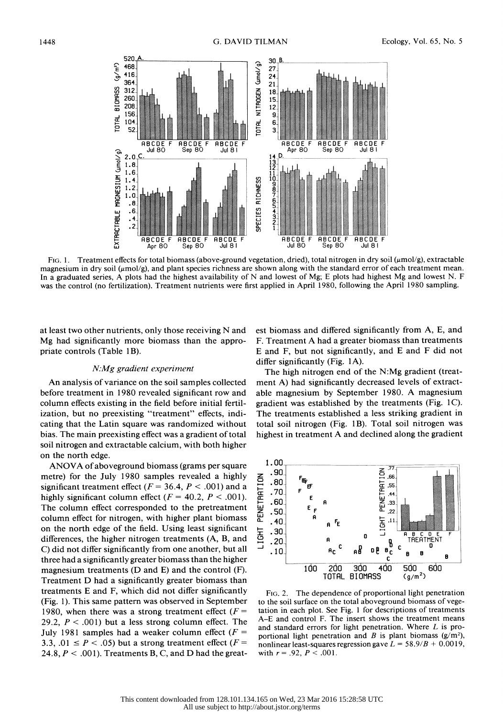

FIG. 1. Treatment effects for total biomass (above-ground vegetation, dried), total nitrogen in dry soil ( $\mu$ mol/g), extractable magnesium in dry soil ( $\mu$ mol/g), and plant species richness are shown along with the standard error of each treatment mean. In a graduated series, A plots had the highest availability of N and lowest of Mg; E plots had highest Mg and lowest N. F was the control (no fertilization). Treatment nutrients were first applied in April 1980, following the April 1980 sampling.

 at least two other nutrients, only those receiving N and Mg had significantly more biomass than the appro priate controls (Table 1B).

## N:Mg gradient experiment

 An analysis of variance on the soil samples collected before treatment in 1980 revealed significant row and column effects existing in the field before initial fertil ization, but no preexisting "treatment" effects, indi cating that the Latin square was randomized without bias. The main preexisting effect was a gradient of total soil nitrogen and extractable calcium, with both higher on the north edge.

 ANOVA of aboveground biomass (grams per square metre) for the July 1980 samples revealed a highly significant treatment effect ( $F = 36.4$ ,  $P < .001$ ) and a highly significant column effect ( $F = 40.2$ ,  $P < .001$ ). The column effect corresponded to the pretreatment column effect for nitrogen, with higher plant biomass on the north edge of the field. Using least significant differences, the higher nitrogen treatments (A, B, and C) did not differ significantly from one another, but all three had a significantly greater biomass than the higher magnesium treatments (D and E) and the control (F). Treatment D had a significantly greater biomass than treatments E and F, which did not differ significantly (Fig. 1). This same pattern was observed in September 1980, when there was a strong treatment effect  $(F =$ 29.2,  $P < .001$ ) but a less strong column effect. The July 1981 samples had a weaker column effect  $(F =$ 3.3, .01  $\leq$  P  $\lt$  .05) but a strong treatment effect (F = 24.8,  $P < .001$ ). Treatments B, C, and D had the great est biomass and differed significantly from A, E, and F. Treatment A had a greater biomass than treatments E and F, but not significantly, and E and F did not differ significantly (Fig. IA).

 The high nitrogen end of the N:Mg gradient (treat ment A) had significantly decreased levels of extract able magnesium by September 1980. A magnesium gradient was established by the treatments (Fig. 1C). The treatments established a less striking gradient in total soil nitrogen (Fig. 1B). Total soil nitrogen was highest in treatment A and declined along the gradient



 FIG. 2. The dependence of proportional light penetration to the soil surface on the total aboveground biomass of vege tation in each plot. See Fig. 1 for descriptions of treatments A-E and control F. The insert shows the treatment means and standard errors for light penetration. Where L is pro portional light penetration and B is plant biomass  $(g/m^2)$ , nonlinear least-squares regression gave  $L = 58.9/B + 0.0019$ , with  $r = .92, P < .001$ .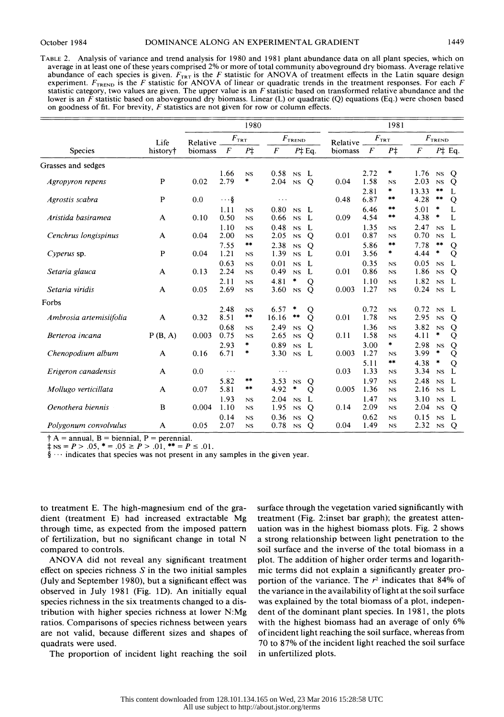TABLE 2. Analysis of variance and trend analysis for 1980 and 1981 plant abundance data on all plant species, which on average in at least one of these years comprised 2% or more of total community aboveground dry biomass. Average relative abundance of each species is given.  $F_{TRT}$  is the F statistic for ANOVA of treatment effects in the Latin square design experiment.  $F_{\text{TREND}}$  is the F statistic for ANOVA of linear or quadratic trends in the treatment responses. For each F statistic category, two values are given. The upper value is an  $F$  statistic based on transformed relative abundance and the lower is an  $\bar{F}$  statistic based on aboveground dry biomass. Linear (L) or quadratic (Q) equations (Eq.) were chosen based on goodness of fit. For brevity,  $F$  statistics are not given for row or column effects.

|                         |              | 1980                      |                      |                 |                  |                   | 1981             |               |              |                            |                  |                       |                    |
|-------------------------|--------------|---------------------------|----------------------|-----------------|------------------|-------------------|------------------|---------------|--------------|----------------------------|------------------|-----------------------|--------------------|
|                         | Life         | $F_{\rm TRT}$<br>Relative |                      |                 | $F_{\rm TREDD}$  |                   | Relative         | $F_{\rm TRT}$ |              | $F_{\rm TREDD}$            |                  |                       |                    |
| <b>Species</b>          | history†     | biomass                   | F                    | $P\ddagger$     | $\boldsymbol{F}$ |                   | $P\ddagger$ Eq.  | biomass       | F            | $P\ddagger$                | $\boldsymbol{F}$ |                       | $P\ddagger$ Eq.    |
| Grasses and sedges      |              |                           |                      |                 |                  |                   |                  |               |              |                            |                  |                       |                    |
| Agropyron repens        | $\mathbf{P}$ | 0.02                      | 1.66<br>2.79         | NS<br>*         | 0.58<br>2.04     | NS<br>$_{\rm NS}$ | L<br>$\mathbf Q$ | 0.04          | 2.72<br>1.58 | *<br>$_{NS}$<br>*          | 1.76<br>2.03     | NS<br><b>NS</b><br>** | Q<br>Q             |
| Agrostis scabra         | P            | 0.0                       | $\cdots$ §           |                 | $\ddotsc$        |                   |                  | 0.48          | 2.81<br>6.87 | **                         | 13.33<br>4.28    | $***$                 | L<br>Q             |
| Aristida basiramea      | A            | 0.10                      | 1.11<br>0.50         | <b>NS</b><br>NS | 0.80<br>0.66     | NS<br>NS          | - L<br>L         | 0.09          | 6.46<br>4.54 | **<br>**                   | 5.01<br>4.38     | *<br>*                | L<br>L             |
| Cenchrus longispinus    | A            | 0.04                      | 1.10<br>2.00         | NS<br><b>NS</b> | 0.48<br>2.05     | NS<br>NS          | L<br>Q           | 0.01          | 1.35<br>0.87 | NS<br>NS                   | 2.47<br>0.70     | NS<br><b>NS</b>       | L<br>L             |
| Cyperus sp.             | $\mathbf P$  | 0.04                      | 7.55<br>1.21         | **<br>NS        | 2.38<br>1.39     | <b>NS</b><br>NS   | Q<br>L           | 0.01          | 5.86<br>3.56 | $***$<br>*                 | 7.78<br>4.44     | **<br>×               | Q<br>Q             |
| Setaria glauca          | $\mathbf{A}$ | 0.13                      | 0.63<br>2.24         | <b>NS</b><br>NS | 0.01<br>0.49     | NS<br><b>NS</b>   | L<br>L           | 0.01          | 0.35<br>0.86 | $_{NS}$<br>$_{\rm NS}$     | 0.05<br>1.86     | NS<br>NS              | L<br>Q             |
| Setaria viridis         | $\mathbf{A}$ | 0.05                      | 2.11<br>2.69         | NS<br>NS        | 4.81<br>3.60     | *<br><b>NS</b>    | Q<br>Q           | 0.003         | 1.10<br>1.27 | NS<br>$_{\rm NS}$          | 1.82<br>0.24     | NS<br><b>NS</b>       | L<br>- L           |
| Forbs                   |              |                           |                      |                 |                  |                   |                  |               |              |                            |                  |                       |                    |
| Ambrosia artemisiifolia | A            | 0.32                      | 2.48<br>8.51         | NS<br>**        | 6.57<br>16.16    | ×<br>$***$        | Q<br>Q           | 0.01          | 0.72<br>1.78 | NS<br>NS                   | 0.72<br>2.95     | NS<br>$_{\rm NS}$     | L<br>Q             |
| Berteroa incana         | P(B, A)      | 0.003                     | 0.68<br>0.75         | NS<br><b>NS</b> | 2.49<br>2.65     | NS<br>NS          | Q<br>Q           | 0.11          | 1.36<br>1.58 | $_{\rm NS}$<br>$_{\rm NS}$ | 3.82<br>4.11     | <b>NS</b><br>×        | Q<br>Q             |
| Chenopodium album       | A            | 0.16                      | 2.93<br>6.71         | *<br>×          | 0.89<br>3.30     | NS<br>NS          | L<br>L           | 0.003         | 3.00<br>1.27 | ×<br>$_{NS}$               | 2.98<br>3.99     | <b>NS</b><br>*        | Q<br>Q             |
| Erigeron canadensis     | A            | 0.0                       | $\sim$ $\sim$ $\sim$ |                 | $\cdots$         |                   |                  | 0.03          | 5.11<br>1.33 | $***$<br><b>NS</b>         | 4.38<br>3.34     | $\ast$<br>$_{\rm NS}$ | Q<br>L             |
| Mollugo verticillata    | A            | 0.07                      | 5.82<br>5.81         | **<br>$***$     | 3.53<br>4.92     | <b>NS</b><br>*    | Q<br>Q           | 0.005         | 1.97<br>1.36 | $_{NS}$<br>NS              | 2.48<br>2.16     | NS<br>NS              | L<br>L             |
| Oenothera biennis       | B            | 0.004                     | 1.93<br>1.10         | NS<br><b>NS</b> | 2.04<br>1.95     | NS<br>NS          | L<br>Q           | 0.14          | 1.47<br>2.09 | $_{\rm NS}$<br>NS          | 3.10<br>2.04     | NS<br>$_{\rm NS}$     | - L<br>$\mathbf Q$ |
| Polygonum convolvulus   | A            | 0.05                      | 0.14<br>2.07         | <b>NS</b><br>NS | 0.36<br>0.78     | NS<br>NS          | Q<br>Q           | 0.04          | 0.62<br>1.49 | NS<br>NS                   | 0.15<br>2.32     | NS<br>$_{\rm NS}$     | L<br>Q             |

 $\dagger$  A = annual, B = biennial, P = perennial.

 $\pm$  NS = P > .05, \* = .05  $\ge P$  > .01, \*\* = P  $\le$  .01.

 $\S \cdots$  indicates that species was not present in any samples in the given year.

 to treatment E. The high-magnesium end of the gra dient (treatment E) had increased extractable Mg through time, as expected from the imposed pattern of fertilization, but no significant change in total N compared to controls.

 ANOVA did not reveal any significant treatment effect on species richness  $S$  in the two initial samples (July and September 1980), but a significant effect was observed in July 1981 (Fig. 1D). An initially equal species richness in the six treatments changed to a dis tribution with higher species richness at lower N:Mg ratios. Comparisons of species richness between years are not valid, because different sizes and shapes of quadrats were used.

The proportion of incident light reaching the soil

 surface through the vegetation varied significantly with treatment (Fig. 2:inset bar graph); the greatest atten uation was in the highest biomass plots. Fig. 2 shows a strong relationship between light penetration to the soil surface and the inverse of the total biomass in a plot. The addition of higher order terms and logarith mic terms did not explain a significantly greater pro portion of the variance. The  $r^2$  indicates that 84% of the variance in the availability of light at the soil surface was explained by the total biomass of a plot, indepen dent of the dominant plant species. In 1981, the plots with the highest biomass had an average of only 6% of incident light reaching the soil surface, whereas from 70 to 87% of the incident light reached the soil surface in unfertilized plots.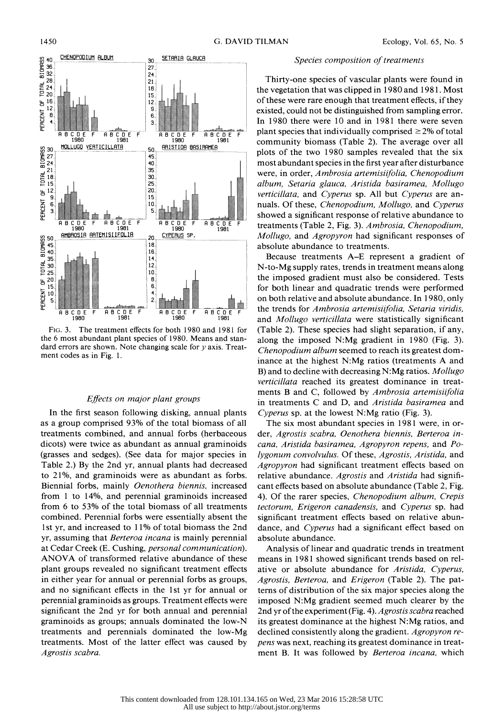

 FIG. 3. The treatment effects for both 1980 and 1981 for the 6 most abundant plant species of 1980. Means and stan dard errors are shown. Note changing scale for  $y$  axis. Treatment codes as in Fig. 1.

## Effects on major plant groups

 In the first season following disking, annual plants as a group comprised 93% of the total biomass of all treatments combined, and annual forbs (herbaceous dicots) were twice as abundant as annual graminoids (grasses and sedges). (See data for major species in Table 2.) By the 2nd yr, annual plants had decreased to 21%, and graminoids were as abundant as forbs. Biennial forbs, mainly Oenothera biennis, increased from 1 to 14%, and perennial graminoids increased from 6 to 53% of the total biomass of all treatments combined. Perennial forbs were essentially absent the 1st yr, and increased to 11% of total biomass the 2nd yr, assuming that Berteroa incana is mainly perennial at Cedar Creek (E. Cushing, personal communication). ANOVA of transformed relative abundance of these plant groups revealed no significant treatment effects in either year for annual or perennial forbs as groups, and no significant effects in the 1st yr for annual or perennial graminoids as groups. Treatment effects were significant the 2nd yr for both annual and perennial graminoids as groups; annuals dominated the low-N treatments and perennials dominated the low-Mg treatments. Most of the latter effect was caused by Agrostis scabra.

# Species composition of treatments

 Thirty-one species of vascular plants were found in the vegetation that was clipped in 1980 and 1981. Most of these were rare enough that treatment effects, if they existed, could not be distinguished from sampling error. In 1980 there were 10 and in 1981 there were seven plant species that individually comprised  $\geq$ 2% of total community biomass (Table 2). The average over all plots of the two 1980 samples revealed that the six most abundant species in the first year after disturbance were, in order, Ambrosia artemisiifolia, Chenopodium album, Setaria glauca, Aristida basiramea, Mollugo verticillata, and Cyperus sp. All but Cyperus are an nuals. Of these, Chenopodium, Mollugo, and Cyperus showed a significant response of relative abundance to treatments (Table 2, Fig. 3). Ambrosia, Chenopodium, Mollugo, and Agropyron had significant responses of absolute abundance to treatments.

 Because treatments A-E represent a gradient of N-to-Mg supply rates, trends in treatment means along the imposed gradient must also be considered. Tests for both linear and quadratic trends were performed on both relative and absolute abundance. In 1980, only the trends for Ambrosia artemisiifolia, Setaria viridis, and Mollugo verticillata were statistically significant (Table 2). These species had slight separation, if any, along the imposed N:Mg gradient in 1980 (Fig. 3). Chenopodium album seemed to reach its greatest dom inance at the highest N:Mg ratios (treatments A and B) and to decline with decreasing N:Mg ratios. Mollugo verticillata reached its greatest dominance in treat ments B and C, followed by Ambrosia artemisiifolia in treatments C and D, and Aristida basiramea and Cyperus sp. at the lowest N:Mg ratio (Fig. 3).

 The six most abundant species in 1981 were, in or der, Agrostis scabra, Oenothera biennis, Berteroa in cana, Aristida basiramea, Agropyron repens, and Po lygonum convolvulus. Of these, Agrostis, Aristida, and Agropyron had significant treatment effects based on relative abundance. Agrostis and Aristida had signifi cant effects based on absolute abundance (Table 2, Fig. 4). Of the rarer species, Chenopodium album, Crepis tectorum, Erigeron canadensis, and Cyperus sp. had significant treatment effects based on relative abun dance, and Cyperus had a significant effect based on absolute abundance.

 Analysis of linear and quadratic trends in treatment means in 1981 showed significant trends based on rel ative or absolute abundance for Aristida, Cyperus, Agrostis, Berteroa, and Erigeron (Table 2). The pat terns of distribution of the six major species along the imposed N:Mg gradient seemed much clearer by the 2nd yr of the experiment (Fig. 4). Agrostis scabra reached its greatest dominance at the highest N:Mg ratios, and declined consistently along the gradient. Agropyron re pens was next, reaching its greatest dominance in treat ment B. It was followed by Berteroa incana, which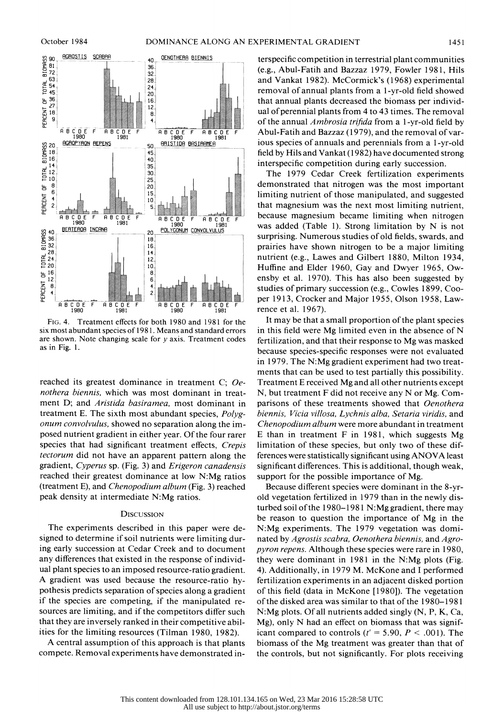

 FIG. 4. Treatment effects for both 1980 and 1981 for the six most abundant species of 1981. Means and standard errors are shown. Note changing scale for  $y$  axis. Treatment codes as in Fig. 1.

 reached its greatest dominance in treatment C; Oe nothera biennis, which was most dominant in treat ment D; and Aristida basiramea, most dominant in treatment E. The sixth most abundant species, Polyg onum convolvulus, showed no separation along the im posed nutrient gradient in either year. Of the four rarer species that had significant treatment effects, Crepis tectorum did not have an apparent pattern along the gradient, Cyperus sp. (Fig. 3) and Erigeron canadensis reached their greatest dominance at low N:Mg ratios (treatment E), and Chenopodium album (Fig. 3) reached peak density at intermediate N:Mg ratios.

# **DISCUSSION**

 The experiments described in this paper were de signed to determine if soil nutrients were limiting dur ing early succession at Cedar Creek and to document any differences that existed in the response of individ ual plant species to an imposed resource-ratio gradient. A gradient was used because the resource-ratio hy pothesis predicts separation of species along a gradient if the species are competing, if the manipulated re sources are limiting, and if the competitors differ such that they are inversely ranked in their competitive abil ities for the limiting resources (Tilman 1980, 1982).

 A central assumption of this approach is that plants compete. Removal experiments have demonstrated in-

 terspecific competition in terrestrial plant communities (e.g., Abul-Fatih and Bazzaz 1979, Fowler 1981, Hils and Vankat 1982). McCormick's (1968) experimental removal of annual plants from a 1-yr-old field showed that annual plants decreased the biomass per individ ual of perennial plants from 4 to 43 times. The removal of the annual Ambrosia trifida from a 1 -yr-old field by Abul-Fatih and Bazzaz (1979), and the removal of var ious species of annuals and perennials from a 1-yr-old field by Hils and Vankat (1982) have documented strong interspecific competition during early succession.

 The 1979 Cedar Creek fertilization experiments demonstrated that nitrogen was the most important limiting nutrient of those manipulated, and suggested that magnesium was the next most limiting nutrient, because magnesium became limiting when nitrogen was added (Table 1). Strong limitation by N is not surprising. Numerous studies of old fields, swards, and prairies have shown nitrogen to be a major limiting nutrient (e.g., Lawes and Gilbert 1880, Milton 1934, Huffine and Elder 1960, Gay and Dwyer 1965, Ow ensby et al. 1970). This has also been suggested by studies of primary succession (e.g., Cowles 1899, Coo per 1913, Crocker and Major 1955, Olson 1958, Law rence et al. 1967).

 It may be that a small proportion of the plant species in this field were Mg limited even in the absence of N fertilization, and that their response to Mg was masked because species-specific responses were not evaluated in 1979. The N:Mg gradient experiment had two treat ments that can be used to test partially this possibility. Treatment E received Mg and all other nutrients except N, but treatment F did not receive any N or Mg. Com parisons of these treatments showed that *Oenothera*  biennis, Vicia villosa, Lychnis alba, Setaria viridis, and Chenopodium album were more abundant in treatment E than in treatment F in 1981, which suggests Mg limitation of these species, but only two of these dif ferences were statistically significant using ANOVA least significant differences. This is additional, though weak, support for the possible importance of Mg.

 Because different species were dominant in the 8-yr old vegetation fertilized in 1979 than in the newly dis turbed soil of the 1980-1981 N:Mg gradient, there may be reason to question the importance of Mg in the N:Mg experiments. The 1979 vegetation was domi nated by Agrostis scabra, Oenothera biennis, and Agro pyron repens. Although these species were rare in 1980, they were dominant in 1981 in the N:Mg plots (Fig. 4). Additionally, in 1979 M. McKone and I performed fertilization experiments in an adjacent disked portion of this field (data in McKone [1980]). The vegetation of the disked area was similar to that of the 1980-1981 N:Mg plots. Of all nutrients added singly (N, P, K, Ca, Mg), only N had an effect on biomass that was signif icant compared to controls ( $t' = 5.90$ ,  $P < .001$ ). The biomass of the Mg treatment was greater than that of the controls, but not significantly. For plots receiving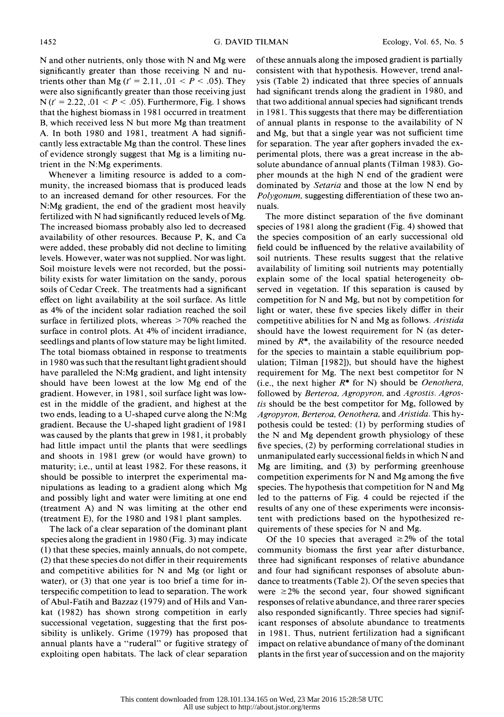N and other nutrients, only those with N and Mg were significantly greater than those receiving N and nu trients other than Mg ( $t' = 2.11$ ,  $.01 < P < .05$ ). They were also significantly greater than those receiving just N ( $t' = 2.22$ ,  $.01 < P < .05$ ). Furthermore, Fig. 1 shows that the highest biomass in 1981 occurred in treatment B, which received less N but more Mg than treatment A. In both 1980 and 1981, treatment A had signifi cantly less extractable Mg than the control. These lines of evidence strongly suggest that Mg is a limiting nu trient in the N:Mg experiments.

 Whenever a limiting resource is added to a com munity, the increased biomass that is produced leads to an increased demand for other resources. For the N:Mg gradient, the end of the gradient most heavily fertilized with N had significantly reduced levels of Mg. The increased biomass probably also led to decreased availability of other resources. Because P, K, and Ca were added, these probably did not decline to limiting levels. However, water was not supplied. Nor was light. Soil moisture levels were not recorded, but the possi bility exists for water limitation on the sandy, porous soils of Cedar Creek. The treatments had a significant effect on light availability at the soil surface. As little as 4% of the incident solar radiation reached the soil surface in fertilized plots, whereas  $>70\%$  reached the surface in control plots. At 4% of incident irradiance, seedlings and plants of low stature may be light limited. The total biomass obtained in response to treatments in 1980 was such that the resultant light gradient should have paralleled the N:Mg gradient, and light intensity should have been lowest at the low Mg end of the gradient. However, in 1981, soil surface light was low est in the middle of the gradient, and highest at the two ends, leading to a U-shaped curve along the N:Mg gradient. Because the U-shaped light gradient of 1981 was caused by the plants that grew in 1981, it probably had little impact until the plants that were seedlings and shoots in 1981 grew (or would have grown) to maturity; i.e., until at least 1982. For these reasons, it should be possible to interpret the experimental ma nipulations as leading to a gradient along which Mg and possibly light and water were limiting at one end (treatment A) and N was limiting at the other end (treatment E), for the 1980 and 1981 plant samples.

 The lack of a clear separation of the dominant plant species along the gradient in 1980 (Fig. 3) may indicate (1) that these species, mainly annuals, do not compete, (2) that these species do not differ in their requirements and competitive abilities for N and Mg (or light or water), or (3) that one year is too brief a time for in terspecific competition to lead to separation. The work of Abul-Fatih and Bazzaz (1979) and of Hils and Van kat (1982) has shown strong competition in early successional vegetation, suggesting that the first pos sibility is unlikely. Grime (1979) has proposed that annual plants have a "ruderal" or fugitive strategy of exploiting open habitats. The lack of clear separation  of these annuals along the imposed gradient is partially consistent with that hypothesis. However, trend anal ysis (Table 2) indicated that three species of annuals had significant trends along the gradient in 1980, and that two additional annual species had significant trends in 198 1. This suggests that there may be differentiation of annual plants in response to the availability of N and Mg, but that a single year was not sufficient time for separation. The year after gophers invaded the ex perimental plots, there was a great increase in the ab solute abundance of annual plants (Tilman 1983). Go pher mounds at the high N end of the gradient were dominated by Setaria and those at the low N end by Polygonum, suggesting differentiation of these two annuals.

 The more distinct separation of the five dominant species of 1981 along the gradient (Fig. 4) showed that the species composition of an early successional old field could be influenced by the relative availability of soil nutrients. These results suggest that the relative availability of limiting soil nutrients may potentially explain some of the local spatial heterogeneity ob served in vegetation. If this separation is caused by competition for N and Mg, but not by competition for light or water, these five species likely differ in their competitive abilities for N and Mg as follows. Aristida should have the lowest requirement for N (as deter mined by  $R^*$ , the availability of the resource needed for the species to maintain a stable equilibrium pop ulation; Tilman [1982]), but should have the highest requirement for Mg. The next best competitor for N (i.e., the next higher  $R^*$  for N) should be *Oenothera*, followed by Berteroa, Agropyron, and Agrostis. Agros tis should be the best competitor for Mg, followed by Agropyron, Berteroa, Oenothera, and Aristida. This hy pothesis could be tested: (1) by performing studies of the N and Mg dependent growth physiology of these five species, (2) by performing correlational studies in unmanipulated early successional fields in which N and Mg are limiting, and (3) by performing greenhouse competition experiments for N and Mg among the five species. The hypothesis that competition for N and Mg led to the patterns of Fig. 4 could be rejected if the results of any one of these experiments were inconsis tent with predictions based on the hypothesized re quirements of these species for N and Mg.

Of the 10 species that averaged  $\geq 2\%$  of the total community biomass the first year after disturbance, three had significant responses of relative abundance and four had significant responses of absolute abun dance to treatments (Table 2). Of the seven species that were  $\geq 2\%$  the second year, four showed significant responses of relative abundance, and three rarer species also responded significantly. Three species had signif icant responses of absolute abundance to treatments in 1981. Thus, nutrient fertilization had a significant impact on relative abundance of many of the dominant plants in the first year of succession and on the majority